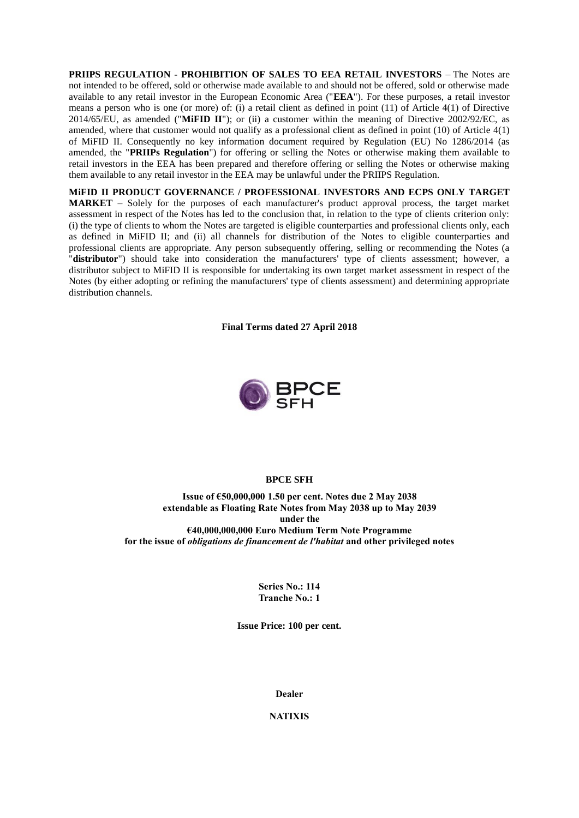**PRIIPS REGULATION - PROHIBITION OF SALES TO EEA RETAIL INVESTORS** – The Notes are not intended to be offered, sold or otherwise made available to and should not be offered, sold or otherwise made available to any retail investor in the European Economic Area ("**EEA**"). For these purposes, a retail investor means a person who is one (or more) of: (i) a retail client as defined in point (11) of Article 4(1) of Directive 2014/65/EU, as amended ("**MiFID II**"); or (ii) a customer within the meaning of Directive 2002/92/EC, as amended, where that customer would not qualify as a professional client as defined in point (10) of Article 4(1) of MiFID II. Consequently no key information document required by Regulation (EU) No 1286/2014 (as amended, the "**PRIIPs Regulation**") for offering or selling the Notes or otherwise making them available to retail investors in the EEA has been prepared and therefore offering or selling the Notes or otherwise making them available to any retail investor in the EEA may be unlawful under the PRIIPS Regulation.

**MiFID II PRODUCT GOVERNANCE / PROFESSIONAL INVESTORS AND ECPS ONLY TARGET MARKET** – Solely for the purposes of each manufacturer's product approval process, the target market assessment in respect of the Notes has led to the conclusion that, in relation to the type of clients criterion only: (i) the type of clients to whom the Notes are targeted is eligible counterparties and professional clients only, each as defined in MiFID II; and (ii) all channels for distribution of the Notes to eligible counterparties and professional clients are appropriate. Any person subsequently offering, selling or recommending the Notes (a "**distributor**") should take into consideration the manufacturers' type of clients assessment; however, a distributor subject to MiFID II is responsible for undertaking its own target market assessment in respect of the Notes (by either adopting or refining the manufacturers' type of clients assessment) and determining appropriate distribution channels.

**Final Terms dated 27 April 2018**



#### **BPCE SFH**

**Issue of €50,000,000 1.50 per cent. Notes due 2 May 2038 extendable as Floating Rate Notes from May 2038 up to May 2039 under the €40,000,000,000 Euro Medium Term Note Programme for the issue of** *obligations de financement de l'habitat* **and other privileged notes**

> **Series No.: 114 Tranche No.: 1**

**Issue Price: 100 per cent.**

**Dealer**

**NATIXIS**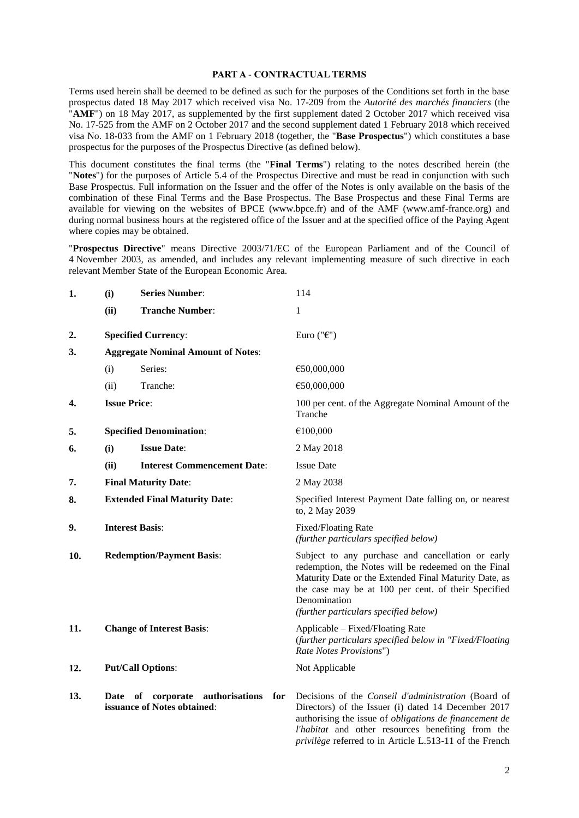#### **PART A - CONTRACTUAL TERMS**

Terms used herein shall be deemed to be defined as such for the purposes of the Conditions set forth in the base prospectus dated 18 May 2017 which received visa No. 17-209 from the *Autorité des marchés financiers* (the "**AMF**") on 18 May 2017, as supplemented by the first supplement dated 2 October 2017 which received visa No. 17-525 from the AMF on 2 October 2017 and the second supplement dated 1 February 2018 which received visa No. 18-033 from the AMF on 1 February 2018 (together, the "**Base Prospectus**") which constitutes a base prospectus for the purposes of the Prospectus Directive (as defined below).

This document constitutes the final terms (the "**Final Terms**") relating to the notes described herein (the "**Notes**") for the purposes of Article 5.4 of the Prospectus Directive and must be read in conjunction with such Base Prospectus. Full information on the Issuer and the offer of the Notes is only available on the basis of the combination of these Final Terms and the Base Prospectus. The Base Prospectus and these Final Terms are available for viewing on the websites of BPCE (www.bpce.fr) and of the AMF (www.amf-france.org) and during normal business hours at the registered office of the Issuer and at the specified office of the Paying Agent where copies may be obtained.

"**Prospectus Directive**" means Directive 2003/71/EC of the European Parliament and of the Council of 4 November 2003, as amended, and includes any relevant implementing measure of such directive in each relevant Member State of the European Economic Area.

| 1.  | (i)                                  | <b>Series Number:</b>                                                  | 114                                                                                                                                                                                                                                                                                         |
|-----|--------------------------------------|------------------------------------------------------------------------|---------------------------------------------------------------------------------------------------------------------------------------------------------------------------------------------------------------------------------------------------------------------------------------------|
|     | (ii)                                 | <b>Tranche Number:</b>                                                 | 1                                                                                                                                                                                                                                                                                           |
| 2.  |                                      | <b>Specified Currency:</b>                                             | Euro (" $\epsilon$ ")                                                                                                                                                                                                                                                                       |
| 3.  |                                      | <b>Aggregate Nominal Amount of Notes:</b>                              |                                                                                                                                                                                                                                                                                             |
|     | (i)                                  | Series:                                                                | €50,000,000                                                                                                                                                                                                                                                                                 |
|     | (ii)                                 | Tranche:                                                               | €50,000,000                                                                                                                                                                                                                                                                                 |
| 4.  | <b>Issue Price:</b>                  |                                                                        | 100 per cent. of the Aggregate Nominal Amount of the<br>Tranche                                                                                                                                                                                                                             |
| 5.  |                                      | <b>Specified Denomination:</b>                                         | €100,000                                                                                                                                                                                                                                                                                    |
| 6.  | (i)                                  | <b>Issue Date:</b>                                                     | 2 May 2018                                                                                                                                                                                                                                                                                  |
|     | (ii)                                 | <b>Interest Commencement Date:</b>                                     | <b>Issue Date</b>                                                                                                                                                                                                                                                                           |
| 7.  | <b>Final Maturity Date:</b>          |                                                                        | 2 May 2038                                                                                                                                                                                                                                                                                  |
| 8.  | <b>Extended Final Maturity Date:</b> |                                                                        | Specified Interest Payment Date falling on, or nearest<br>to, 2 May 2039                                                                                                                                                                                                                    |
| 9.  |                                      | <b>Interest Basis:</b>                                                 | <b>Fixed/Floating Rate</b><br>(further particulars specified below)                                                                                                                                                                                                                         |
| 10. | <b>Redemption/Payment Basis:</b>     |                                                                        | Subject to any purchase and cancellation or early<br>redemption, the Notes will be redeemed on the Final<br>Maturity Date or the Extended Final Maturity Date, as<br>the case may be at 100 per cent. of their Specified<br>Denomination<br>(further particulars specified below)           |
| 11. |                                      | <b>Change of Interest Basis:</b>                                       | Applicable - Fixed/Floating Rate<br>(further particulars specified below in "Fixed/Floating<br>Rate Notes Provisions")                                                                                                                                                                      |
| 12. |                                      | <b>Put/Call Options:</b>                                               | Not Applicable                                                                                                                                                                                                                                                                              |
| 13. |                                      | Date of corporate authorisations<br>for<br>issuance of Notes obtained: | Decisions of the Conseil d'administration (Board of<br>Directors) of the Issuer (i) dated 14 December 2017<br>authorising the issue of <i>obligations de financement de</i><br>l'habitat and other resources benefiting from the<br>privilège referred to in Article L.513-11 of the French |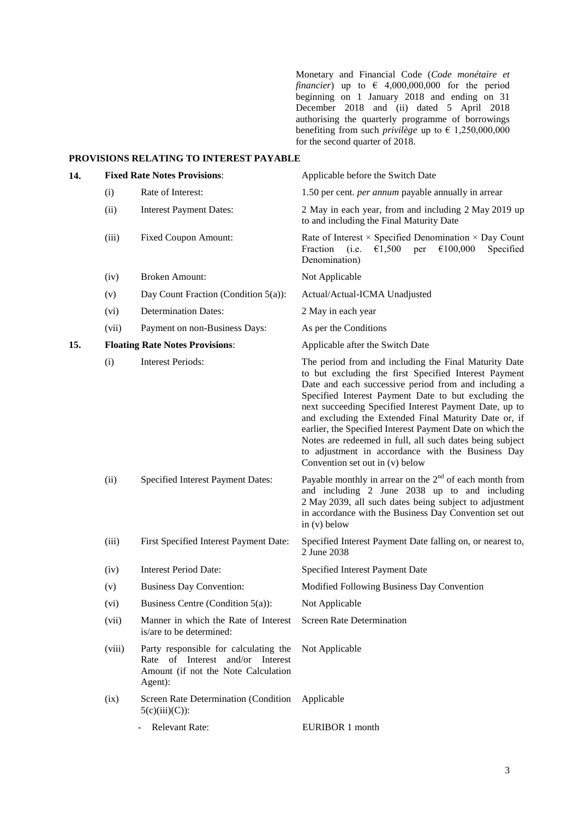Monetary and Financial Code (*Code monétaire et financier*) up to  $\epsilon$  4,000,000,000 for the period beginning on 1 January 2018 and ending on 31 December 2018 and (ii) dated 5 April 2018 authorising the quarterly programme of borrowings benefiting from such *privilège* up to  $\epsilon$  1,250,000,000 for the second quarter of 2018.

#### **PROVISIONS RELATING TO INTEREST PAYABLE**

| 14. |        | <b>Fixed Rate Notes Provisions:</b>                                                                                         | Applicable before the Switch Date                                                                                                                                                                                                                                                                                                                                                                                                                                                                                                                                  |
|-----|--------|-----------------------------------------------------------------------------------------------------------------------------|--------------------------------------------------------------------------------------------------------------------------------------------------------------------------------------------------------------------------------------------------------------------------------------------------------------------------------------------------------------------------------------------------------------------------------------------------------------------------------------------------------------------------------------------------------------------|
|     | (i)    | Rate of Interest:                                                                                                           | 1.50 per cent. <i>per annum</i> payable annually in arrear                                                                                                                                                                                                                                                                                                                                                                                                                                                                                                         |
|     | (ii)   | <b>Interest Payment Dates:</b>                                                                                              | 2 May in each year, from and including 2 May 2019 up<br>to and including the Final Maturity Date                                                                                                                                                                                                                                                                                                                                                                                                                                                                   |
|     | (iii)  | <b>Fixed Coupon Amount:</b>                                                                                                 | Rate of Interest $\times$ Specified Denomination $\times$ Day Count<br>Fraction<br>€1,500<br>€100,000<br>Specified<br>(i.e.<br>per<br>Denomination)                                                                                                                                                                                                                                                                                                                                                                                                                |
|     | (iv)   | <b>Broken Amount:</b>                                                                                                       | Not Applicable                                                                                                                                                                                                                                                                                                                                                                                                                                                                                                                                                     |
|     | (v)    | Day Count Fraction (Condition $5(a)$ ):                                                                                     | Actual/Actual-ICMA Unadjusted                                                                                                                                                                                                                                                                                                                                                                                                                                                                                                                                      |
|     | (vi)   | <b>Determination Dates:</b>                                                                                                 | 2 May in each year                                                                                                                                                                                                                                                                                                                                                                                                                                                                                                                                                 |
|     | (vii)  | Payment on non-Business Days:                                                                                               | As per the Conditions                                                                                                                                                                                                                                                                                                                                                                                                                                                                                                                                              |
| 15. |        | <b>Floating Rate Notes Provisions:</b>                                                                                      | Applicable after the Switch Date                                                                                                                                                                                                                                                                                                                                                                                                                                                                                                                                   |
|     | (i)    | <b>Interest Periods:</b>                                                                                                    | The period from and including the Final Maturity Date<br>to but excluding the first Specified Interest Payment<br>Date and each successive period from and including a<br>Specified Interest Payment Date to but excluding the<br>next succeeding Specified Interest Payment Date, up to<br>and excluding the Extended Final Maturity Date or, if<br>earlier, the Specified Interest Payment Date on which the<br>Notes are redeemed in full, all such dates being subject<br>to adjustment in accordance with the Business Day<br>Convention set out in (v) below |
|     | (ii)   | Specified Interest Payment Dates:                                                                                           | Payable monthly in arrear on the $2nd$ of each month from<br>and including 2 June 2038 up to and including<br>2 May 2039, all such dates being subject to adjustment<br>in accordance with the Business Day Convention set out<br>in $(v)$ below                                                                                                                                                                                                                                                                                                                   |
|     | (iii)  | First Specified Interest Payment Date:                                                                                      | Specified Interest Payment Date falling on, or nearest to,<br>2 June 2038                                                                                                                                                                                                                                                                                                                                                                                                                                                                                          |
|     | (iv)   | <b>Interest Period Date:</b>                                                                                                | Specified Interest Payment Date                                                                                                                                                                                                                                                                                                                                                                                                                                                                                                                                    |
|     | (v)    | <b>Business Day Convention:</b>                                                                                             | Modified Following Business Day Convention                                                                                                                                                                                                                                                                                                                                                                                                                                                                                                                         |
|     | (vi)   | Business Centre (Condition 5(a)):                                                                                           | Not Applicable                                                                                                                                                                                                                                                                                                                                                                                                                                                                                                                                                     |
|     | (vii)  | Manner in which the Rate of Interest<br>is/are to be determined:                                                            | <b>Screen Rate Determination</b>                                                                                                                                                                                                                                                                                                                                                                                                                                                                                                                                   |
|     | (viii) | Party responsible for calculating the<br>Rate of Interest and/or Interest<br>Amount (if not the Note Calculation<br>Agent): | Not Applicable                                                                                                                                                                                                                                                                                                                                                                                                                                                                                                                                                     |
|     | (ix)   | Screen Rate Determination (Condition<br>$5(c)(iii)(C))$ :                                                                   | Applicable                                                                                                                                                                                                                                                                                                                                                                                                                                                                                                                                                         |
|     |        | Relevant Rate:                                                                                                              | EURIBOR 1 month                                                                                                                                                                                                                                                                                                                                                                                                                                                                                                                                                    |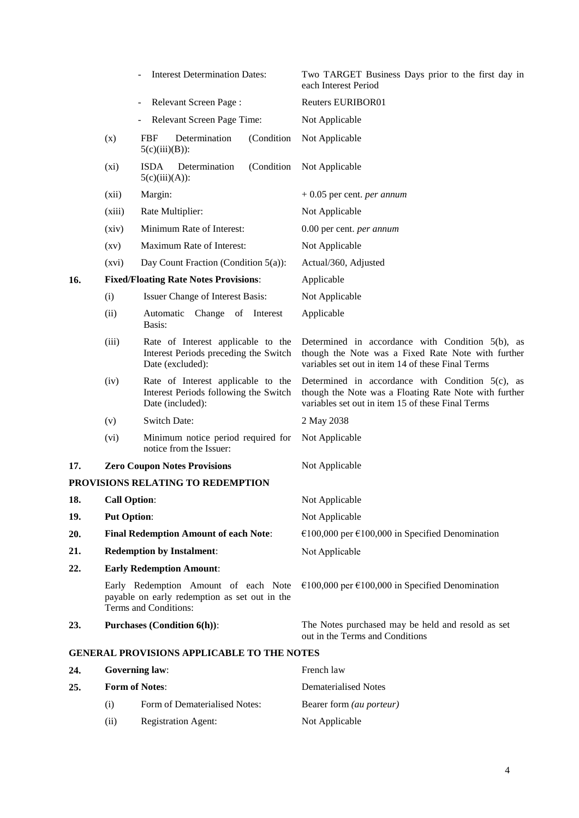|     | <b>Interest Determination Dates:</b>         |                                                                                                                |             | Two TARGET Business Days prior to the first day in<br>each Interest Period                                                                                        |
|-----|----------------------------------------------|----------------------------------------------------------------------------------------------------------------|-------------|-------------------------------------------------------------------------------------------------------------------------------------------------------------------|
|     |                                              | Relevant Screen Page:<br>$\overline{\phantom{a}}$                                                              |             | Reuters EURIBOR01                                                                                                                                                 |
|     |                                              | Relevant Screen Page Time:                                                                                     |             | Not Applicable                                                                                                                                                    |
|     | (x)                                          | Determination<br>FBF<br>$5(c)(iii)(B))$ :                                                                      | (Condition  | Not Applicable                                                                                                                                                    |
|     | $(x_i)$                                      | <b>ISDA</b><br>Determination<br>$5(c)(iii)(A))$ :                                                              | (Condition) | Not Applicable                                                                                                                                                    |
|     | (xii)                                        | Margin:                                                                                                        |             | $+0.05$ per cent. <i>per annum</i>                                                                                                                                |
|     | (xiii)                                       | Rate Multiplier:                                                                                               |             | Not Applicable                                                                                                                                                    |
|     | (xiv)                                        | Minimum Rate of Interest:                                                                                      |             | 0.00 per cent. per annum                                                                                                                                          |
|     | $\left( xy\right)$                           | Maximum Rate of Interest:                                                                                      |             | Not Applicable                                                                                                                                                    |
|     | (xvi)                                        | Day Count Fraction (Condition 5(a)):                                                                           |             | Actual/360, Adjusted                                                                                                                                              |
| 16. |                                              | <b>Fixed/Floating Rate Notes Provisions:</b>                                                                   |             | Applicable                                                                                                                                                        |
|     | (i)                                          | Issuer Change of Interest Basis:                                                                               |             | Not Applicable                                                                                                                                                    |
|     | (ii)                                         | Automatic Change of Interest<br>Basis:                                                                         |             | Applicable                                                                                                                                                        |
|     | (iii)                                        | Rate of Interest applicable to the<br>Interest Periods preceding the Switch<br>Date (excluded):                |             | Determined in accordance with Condition $5(b)$ , as<br>though the Note was a Fixed Rate Note with further<br>variables set out in item 14 of these Final Terms    |
|     | (iv)                                         | Rate of Interest applicable to the<br>Interest Periods following the Switch<br>Date (included):                |             | Determined in accordance with Condition $5(c)$ , as<br>though the Note was a Floating Rate Note with further<br>variables set out in item 15 of these Final Terms |
|     | (v)                                          | <b>Switch Date:</b>                                                                                            |             | 2 May 2038                                                                                                                                                        |
|     | (vi)                                         | Minimum notice period required for<br>notice from the Issuer:                                                  |             | Not Applicable                                                                                                                                                    |
| 17. | <b>Zero Coupon Notes Provisions</b>          |                                                                                                                |             | Not Applicable                                                                                                                                                    |
|     |                                              | PROVISIONS RELATING TO REDEMPTION                                                                              |             |                                                                                                                                                                   |
| 18. | <b>Call Option:</b>                          |                                                                                                                |             | Not Applicable                                                                                                                                                    |
| 19. | <b>Put Option:</b>                           |                                                                                                                |             | Not Applicable                                                                                                                                                    |
| 20. | <b>Final Redemption Amount of each Note:</b> |                                                                                                                |             | €100,000 per €100,000 in Specified Denomination                                                                                                                   |
| 21. | <b>Redemption by Instalment:</b>             |                                                                                                                |             | Not Applicable                                                                                                                                                    |
| 22. |                                              | <b>Early Redemption Amount:</b>                                                                                |             |                                                                                                                                                                   |
|     |                                              | Early Redemption Amount of each Note<br>payable on early redemption as set out in the<br>Terms and Conditions: |             | €100,000 per €100,000 in Specified Denomination                                                                                                                   |
| 23. | <b>Purchases (Condition 6(h)):</b>           |                                                                                                                |             | The Notes purchased may be held and resold as set<br>out in the Terms and Conditions                                                                              |
|     |                                              | <b>GENERAL PROVISIONS APPLICABLE TO THE NOTES</b>                                                              |             |                                                                                                                                                                   |
| 24. | <b>Governing law:</b>                        |                                                                                                                |             | French law                                                                                                                                                        |
| 25. | <b>Form of Notes:</b>                        |                                                                                                                |             | <b>Dematerialised Notes</b>                                                                                                                                       |
|     | (i)                                          | Form of Dematerialised Notes:                                                                                  |             | Bearer form (au porteur)                                                                                                                                          |
|     |                                              |                                                                                                                |             |                                                                                                                                                                   |

(ii) Registration Agent: Not Applicable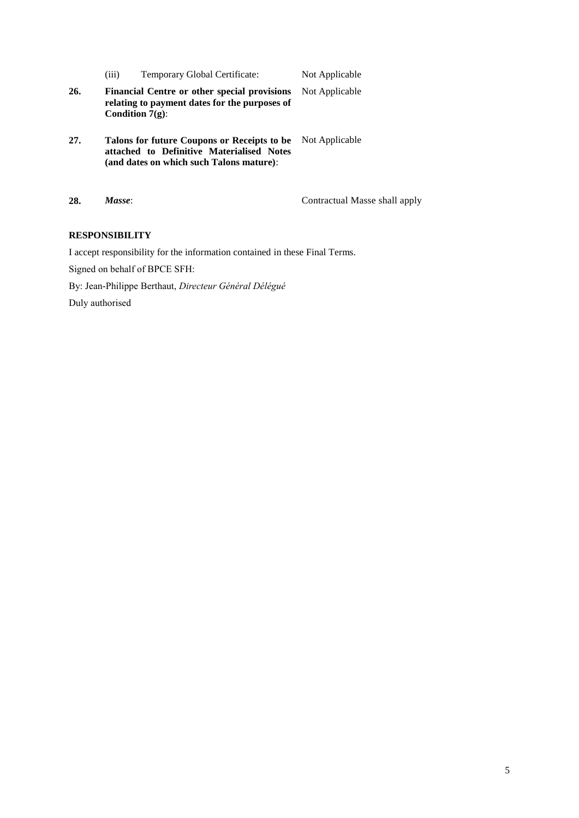|     | (iii) | Temporary Global Certificate:                                                                                                        | Not Applicable |
|-----|-------|--------------------------------------------------------------------------------------------------------------------------------------|----------------|
| 26. |       | <b>Financial Centre or other special provisions</b><br>relating to payment dates for the purposes of<br>Condition $7(g)$ :           | Not Applicable |
| 27. |       | Talons for future Coupons or Receipts to be<br>attached to Definitive Materialised Notes<br>(and dates on which such Talons mature): | Not Applicable |
|     |       |                                                                                                                                      |                |

**28.** *Masse*: Contractual Masse shall apply

# **RESPONSIBILITY**

I accept responsibility for the information contained in these Final Terms.

Signed on behalf of BPCE SFH:

By: Jean-Philippe Berthaut, *Directeur Général Délégué*

Duly authorised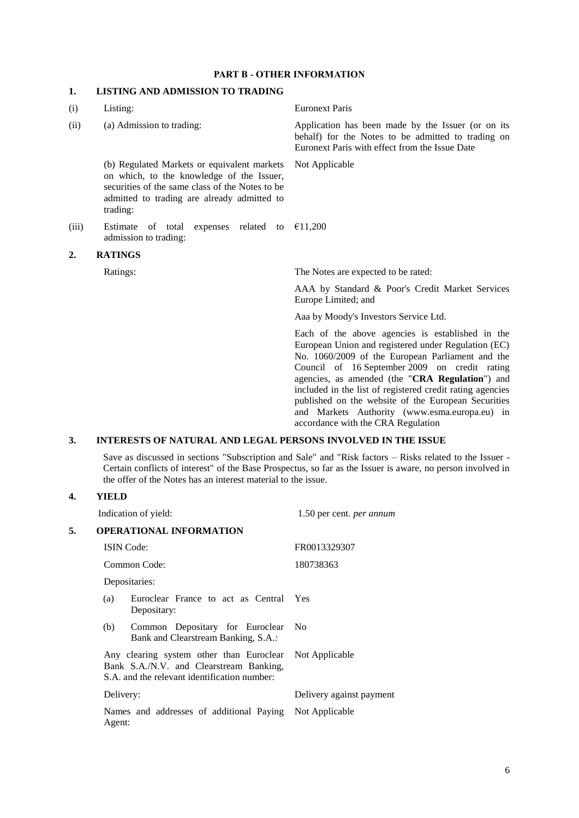#### **PART B - OTHER INFORMATION**

## **1. LISTING AND ADMISSION TO TRADING**

| (i)   | Listing:                                                                                                                                                                                               | <b>Euronext Paris</b>                                                                                                                                                                                                                                                                                                                                                                                                                                                      |  |
|-------|--------------------------------------------------------------------------------------------------------------------------------------------------------------------------------------------------------|----------------------------------------------------------------------------------------------------------------------------------------------------------------------------------------------------------------------------------------------------------------------------------------------------------------------------------------------------------------------------------------------------------------------------------------------------------------------------|--|
| (ii)  | (a) Admission to trading:                                                                                                                                                                              | Application has been made by the Issuer (or on its<br>behalf) for the Notes to be admitted to trading on<br>Euronext Paris with effect from the Issue Date                                                                                                                                                                                                                                                                                                                 |  |
|       | (b) Regulated Markets or equivalent markets<br>on which, to the knowledge of the Issuer,<br>securities of the same class of the Notes to be<br>admitted to trading are already admitted to<br>trading: | Not Applicable                                                                                                                                                                                                                                                                                                                                                                                                                                                             |  |
| (iii) | Estimate<br>of total<br>related to<br>expenses<br>admission to trading:                                                                                                                                | €11,200                                                                                                                                                                                                                                                                                                                                                                                                                                                                    |  |
| 2.    | <b>RATINGS</b>                                                                                                                                                                                         |                                                                                                                                                                                                                                                                                                                                                                                                                                                                            |  |
|       | Ratings:                                                                                                                                                                                               | The Notes are expected to be rated:                                                                                                                                                                                                                                                                                                                                                                                                                                        |  |
|       |                                                                                                                                                                                                        | AAA by Standard & Poor's Credit Market Services<br>Europe Limited; and                                                                                                                                                                                                                                                                                                                                                                                                     |  |
|       |                                                                                                                                                                                                        | Aaa by Moody's Investors Service Ltd.                                                                                                                                                                                                                                                                                                                                                                                                                                      |  |
|       |                                                                                                                                                                                                        | Each of the above agencies is established in the<br>European Union and registered under Regulation (EC)<br>No. 1060/2009 of the European Parliament and the<br>Council of 16 September 2009 on credit rating<br>agencies, as amended (the "CRA Regulation") and<br>included in the list of registered credit rating agencies<br>published on the website of the European Securities<br>and Markets Authority (www.esma.europa.eu) in<br>accordance with the CRA Regulation |  |
| 3.    | <b>INTERESTS OF NATURAL AND LEGAL PERSONS INVOLVED IN THE ISSUE</b>                                                                                                                                    |                                                                                                                                                                                                                                                                                                                                                                                                                                                                            |  |

Save as discussed in sections "Subscription and Sale" and "Risk factors – Risks related to the Issuer - Certain conflicts of interest" of the Base Prospectus, so far as the Issuer is aware, no person involved in the offer of the Notes has an interest material to the issue.

## **4. YIELD**

|    |              | Indication of yield:                                                                                                                               | 1.50 per cent. per annum |
|----|--------------|----------------------------------------------------------------------------------------------------------------------------------------------------|--------------------------|
| 5. |              | <b>OPERATIONAL INFORMATION</b>                                                                                                                     |                          |
|    |              | <b>ISIN</b> Code:                                                                                                                                  | FR0013329307             |
|    | Common Code: |                                                                                                                                                    | 180738363                |
|    |              | Depositaries:                                                                                                                                      |                          |
|    | (a)          | Euroclear France to act as Central<br>Depositary:                                                                                                  | Yes                      |
|    | (b)          | Common Depositary for Euroclear No<br>Bank and Clearstream Banking, S.A.:                                                                          |                          |
|    |              | Any clearing system other than Euroclear Not Applicable<br>Bank S.A./N.V. and Clearstream Banking,<br>S.A. and the relevant identification number: |                          |
|    | Delivery:    |                                                                                                                                                    | Delivery against payment |
|    | Agent:       | Names and addresses of additional Paying Not Applicable                                                                                            |                          |